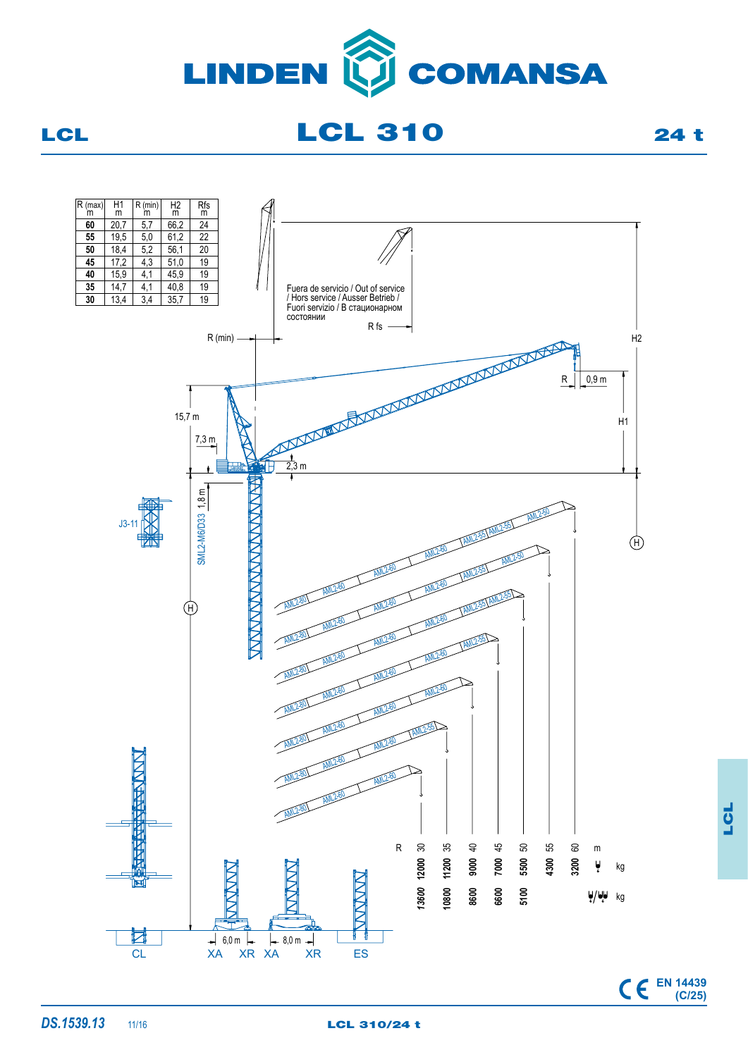

LCL 210 24 t



LCL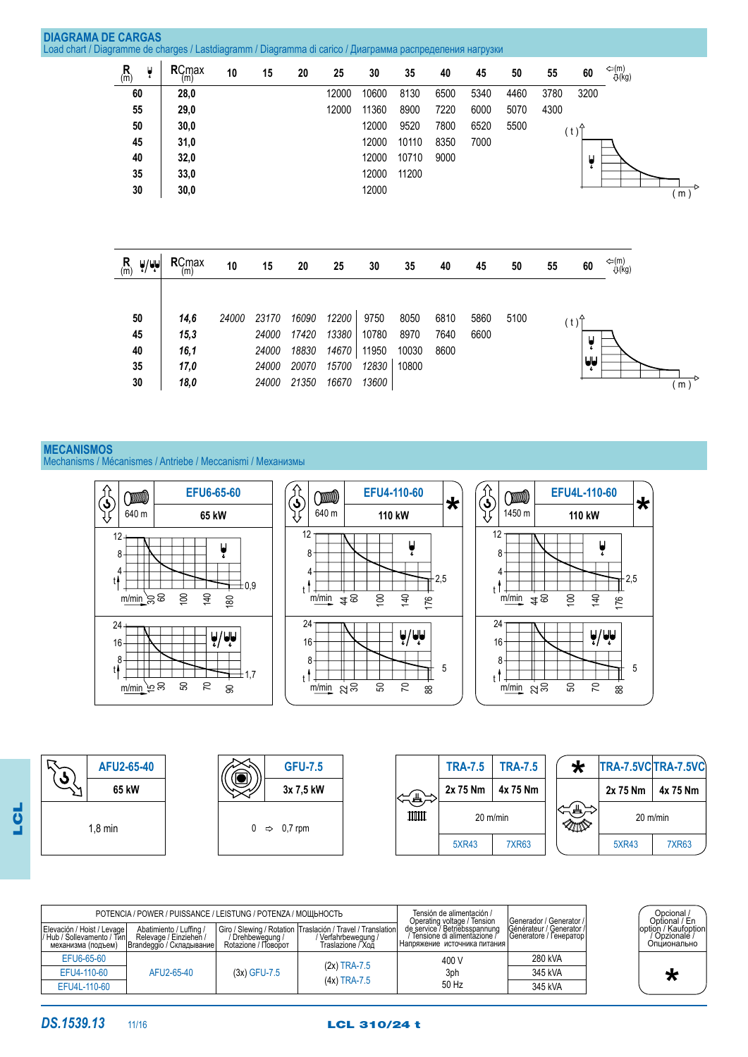| <b>DIAGRAMA DE CARGAS</b><br>Load chart / Diagramme de charges / Lastdiagramm / Diagramma di carico / Диаграмма распределения нагрузки |                             |               |                      |       |                         |                         |                         |                        |                       |                      |              |      |      |          |                |                         |
|----------------------------------------------------------------------------------------------------------------------------------------|-----------------------------|---------------|----------------------|-------|-------------------------|-------------------------|-------------------------|------------------------|-----------------------|----------------------|--------------|------|------|----------|----------------|-------------------------|
|                                                                                                                                        | $\mathsf{R}_{\mathsf{(m)}}$ | ĥ             | RCmax<br>(m)         | 10    | 15                      | 20                      | 25                      | 30                     | 35                    | 40                   | 45           | 50   | 55   | 60       | ⇔(m)<br>U(kg)  |                         |
|                                                                                                                                        | 60                          |               | 28,0                 |       |                         |                         | 12000                   | 10600                  | 8130                  | 6500                 | 5340         | 4460 | 3780 | 3200     |                |                         |
|                                                                                                                                        | 55                          |               | 29,0                 |       |                         |                         | 12000                   | 11360                  | 8900                  | 7220                 | 6000         | 5070 | 4300 |          |                |                         |
|                                                                                                                                        | 50                          |               | 30,0                 |       |                         |                         |                         | 12000                  | 9520                  | 7800                 | 6520         | 5500 |      | (t)      |                |                         |
|                                                                                                                                        | 45                          |               | 31,0                 |       |                         |                         |                         | 12000                  | 10110                 | 8350                 | 7000         |      |      |          |                |                         |
|                                                                                                                                        | 40                          |               | 32,0                 |       |                         |                         |                         | 12000                  | 10710                 | 9000                 |              |      |      | Ų        |                |                         |
|                                                                                                                                        | 35                          |               | 33,0                 |       |                         |                         |                         | 12000                  | 11200                 |                      |              |      |      |          |                |                         |
|                                                                                                                                        | 30                          |               | 30,0                 |       |                         |                         |                         | 12000                  |                       |                      |              |      |      |          |                | (m)                     |
|                                                                                                                                        | $R_{(m)}$                   | $\frac{1}{2}$ | RCmax<br>(m)         | 10    | 15                      | 20                      | 25                      | 30                     | 35                    | 40                   | 45           | 50   | 55   | 60       | ⇔(m)<br>-Q(kg) |                         |
|                                                                                                                                        | 50<br>45<br>40              |               | 14,6<br>15,3<br>16,1 | 24000 | 23170<br>24000<br>24000 | 16090<br>17420<br>18830 | 12200<br>13380<br>14670 | 9750<br>10780<br>11950 | 8050<br>8970<br>10030 | 6810<br>7640<br>8600 | 5860<br>6600 | 5100 |      | (t)<br>Ų |                |                         |
|                                                                                                                                        | 35                          |               | 17,0                 |       | 24000                   | 20070                   | 15700                   | 12830                  | 10800                 |                      |              |      |      | لمإيا    |                |                         |
|                                                                                                                                        | 30                          |               | 18,0                 |       | 24000                   | 21350                   | 16670                   | 13600                  |                       |                      |              |      |      |          |                | Þ<br>$(m)$ <sup>*</sup> |

# **MECANISMOS** Mechanisms / Mécanismes / Antriebe / Meccanismi / Механизмы

 $\widehat{\widehat{G}}$  $\widehat{\mathcal{S}}$  $\widehat{\mathbf{S}}$ **EFU6-65-60 EFU4-110-60 EFU4L-110-60** ODU O (DD) **\* \*** 1450 m 640 m **65 kW** 640 m **110 kW 110 kW** 12 12 12 Ų Ų Ų 8 8 8 4 4 4  $-2,5$ 2,5 t  $\mathbf{t}$  $\pm$ 0.9 t 100 140 100 140 100 140 m/min\_`පි ලු 180 www.td $\frac{1}{2}$ 176 www.ibi $\frac{4}{3}$ 176 24 24 24  $\frac{1}{2}$  $\frac{1}{2}$  $\frac{1}{2}$ 16 16 16 8 8 8 5 5  $\downarrow$  $\downarrow$   $\uparrow$   $\downarrow$ t  $\pm$ 1,7  $\mathbb T$ 50 70 50 70 50 70 m/min\_`ဗ္ က 90 88 88 <u>m/min</u> පුපු <u>m/min</u> පුපි



|                                                                                   | POTENCIA / POWER / PUISSANCE / LEISTUNG / POTENZA / МОШЬНОСТЬ                  |                                         | Tensión de alimentación /<br>Operating voltage / Tension                                                   | I Generador / Generator /                                                                        | Opcional /<br>Optional / En                         |                                                      |
|-----------------------------------------------------------------------------------|--------------------------------------------------------------------------------|-----------------------------------------|------------------------------------------------------------------------------------------------------------|--------------------------------------------------------------------------------------------------|-----------------------------------------------------|------------------------------------------------------|
| Elevación / Hoist / Levage I<br> / Hub / Sollevamento / Тип<br>механизма (подъем) | Abatimiento / Luffing /<br>Relevage / Einziehen /<br> Вrandeggio / Складывание | / Drehbewequng /<br>Rotazione / Поворот | Giro / Slewing / Rotation   Traslación / Travel / Translation <br>/ Verfahrbewegung /<br>Traslazione / Ход | de service / Betriebsspannung<br>′ Tensione di alimentazione / ̇<br>Напряжение источника питания | Générateur / Generator /<br> Generatore / Генератор | loption / Kaufoption<br>/ Opzionale /<br>Опционально |
| EFU6-65-60                                                                        |                                                                                |                                         | $(2x)$ TRA-7.5                                                                                             | 400 V                                                                                            | 280 kVA                                             |                                                      |
| EFU4-110-60                                                                       | AFU2-65-40                                                                     | $(3x)$ GFU-7.5                          |                                                                                                            | 3ph                                                                                              | 345 kVA                                             |                                                      |
| EFU4L-110-60                                                                      |                                                                                |                                         | $(4x)$ TRA-7.5                                                                                             | 50 Hz                                                                                            | 345 kVA                                             |                                                      |
|                                                                                   |                                                                                |                                         |                                                                                                            |                                                                                                  |                                                     |                                                      |

**DS.1539.13** 11/16 **LCL 310/24 t** 

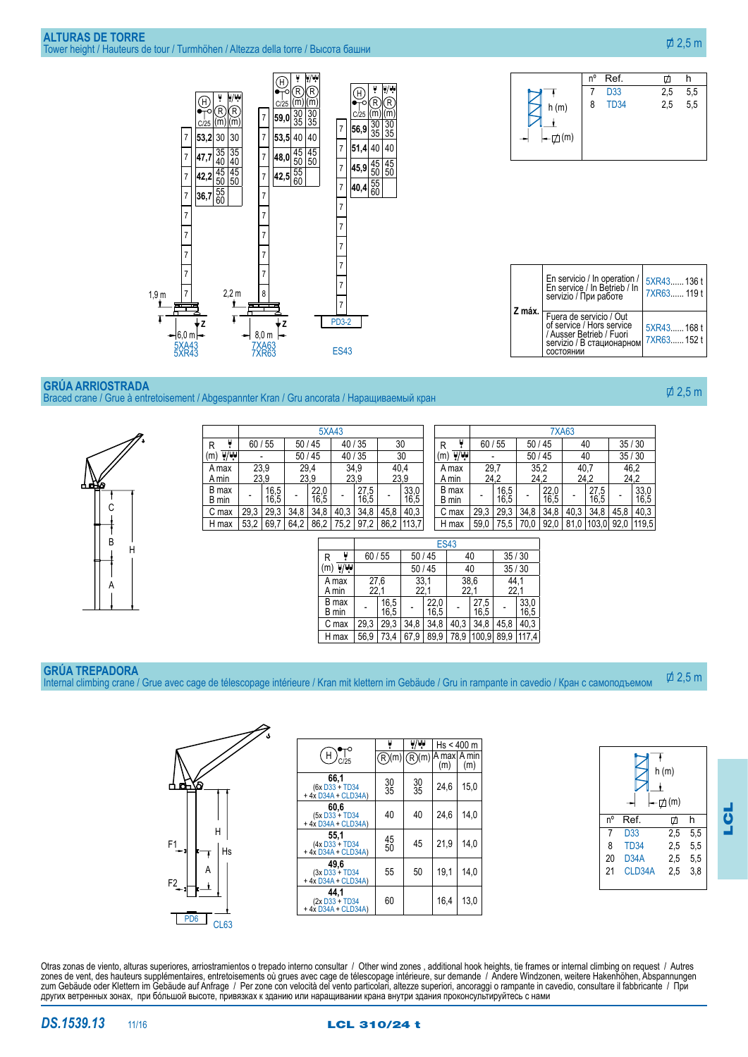

### **Grúa arriostrada** Braced crane / Grue à entretoisement / Abgespannter Kran / Gru ancorata / Наращиваемый кран



|                                | 5XA43                        |              |       |                |              |                         |                  |                  |                          |                       |                  |                | <b>7XA63</b> |              |              |                  |      |              |                |              |
|--------------------------------|------------------------------|--------------|-------|----------------|--------------|-------------------------|------------------|------------------|--------------------------|-----------------------|------------------|----------------|--------------|--------------|--------------|------------------|------|--------------|----------------|--------------|
| R                              | 60/55                        |              | 50/45 |                |              | 40/35                   |                  |                  | 30                       |                       | R                | ų              |              | 60/55        |              | 50/45            |      | 40           | 35/30          |              |
| $\overline{\mathbb{V}}$<br>(m) |                              |              |       | 50/45<br>40/35 |              |                         | 30               |                  |                          | $\overline{W}$<br>(m) |                  |                |              | 50/45        |              |                  | 40   |              | 35/30          |              |
| A max<br>A min                 | 23.9<br>29,4<br>23,9<br>23,9 |              |       | 34,9<br>23,9   |              | 40,4<br>23,9            |                  |                  |                          | A max<br>A min        |                  | 29,7<br>24,2   |              | 35.2<br>24,2 |              | 40,7<br>24,2     | 46,2 | 24,2         |                |              |
| B max<br>B min                 |                              | 16,5<br>16,5 |       |                | 22,0<br>16,5 |                         | $^{27,5}_{16,5}$ |                  | 33,0<br>16,5             |                       |                  | B max<br>B min |              | 16,5<br>16,5 | -            | $^{22,0}_{16,5}$ | -    | 27.5<br>16,5 | $\blacksquare$ | 33,0<br>16,5 |
| C max                          | 29,3                         | 29,3         | 34,8  |                | 34,8         | 40,3                    | 34,8             | 45,8             | 40,3                     |                       |                  | C max          | 29,3         | 29,3         | 34,8         | 34,8             | 40,3 | 34,8         | 45,8           | 40,3         |
| H max                          | 53,2                         | 69,7         | 64,2  |                | 86,2         | 75,2                    | 97,2             | 86,2             | 113,7                    |                       |                  | H max          | 59,0         | 75,5         | 70,0         | 92,0             | 81,0 | 103,0        | 92,0           | 119,5        |
|                                |                              |              |       |                |              |                         |                  |                  |                          |                       | <b>ES43</b>      |                |              |              |              |                  |      |              |                |              |
|                                |                              |              |       |                | R            | ų                       | 60/55            |                  | 50/45                    |                       |                  |                | 40           |              | 35/30        |                  |      |              |                |              |
|                                |                              |              |       |                | (m)          | $\overline{\mathbb{W}}$ |                  |                  | 50/45                    |                       |                  |                | 40           |              | 35/30        |                  |      |              |                |              |
|                                |                              |              |       |                |              | A max<br>A min          | 22,1             | 27.6             | 33,1<br>22,1             |                       |                  |                | 38,6<br>22,1 | 44,1<br>22,1 |              |                  |      |              |                |              |
|                                |                              |              |       |                |              | B max<br>B min          |                  | $^{16,5}_{16,5}$ | $\overline{\phantom{a}}$ |                       | $^{22,0}_{16,5}$ |                | 27,5<br>16,5 |              | 33,0<br>16,5 |                  |      |              |                |              |
|                                |                              |              |       |                |              | C max                   | 29.3             | 29,3             | 34.8                     |                       | 34,8             | 40.3           | 34.8         | 45,8         | 40,3         |                  |      |              |                |              |

H max | 56,9 | 73,4 | 67,9 | 89,9 | 78,9 |100,9| 89,9 |117,4

# **Grúa trepadora**

Internal climbing crane / Grue avec cage de télescopage intérieure / Kran mit klettern im Gebäude / Gru in rampante in cavedio / Кран с самоподъемом  $\overline{\varphi}$  2.5 m



|                                               |           |                 | Hs < 400 m           |      |
|-----------------------------------------------|-----------|-----------------|----------------------|------|
| $\mathsf H$<br>C/25                           | )(m)<br>R | )(m)<br>R       | IA maxl A min<br>(m) | (m)  |
| 66,1<br>(6x D33 + TD34<br>+4x D34A + CLD34A)  | 30<br>35  | $\frac{30}{35}$ | 24,6                 | 15,0 |
| 60,6<br>(5x D33 + TD34<br>+ 4x D34A + CLD34A) | 40        | 40              | 24.6                 | 14.0 |
| 55,1<br>(4x D33 + TD34<br>+4x D34A + CLD34A)  | 45<br>50  | 45              | 21,9                 | 14.0 |
| 49,6<br>(3x D33 + TD34<br>+ 4x D34A + CLD34A) | 55        | 50              | 19,1                 | 14,0 |
| 44.1<br>(2x D33 + TD34<br>+4x D34A + CLD34A)  | 60        |                 | 16,4                 | 13,0 |



Otras zonas de viento, alturas superiores, arriostramientos o trepado interno consultar / Other wind zones , additional hook heights, tie frames or internal climbing on request / Autres zones de vent, des hauteurs supplémentaires, entretoisements où grues avec cage de télescopage intérieure, sur demande / Andere Windzonen, weitere Hakenhöhen, Abspannungen zum Gebäude oder Klettern im Gebäude auf Anfrage / Per zone con velocità del vento particolari, altezze superiori, ancoraggi o rampante in cavedio, consultare il fabbricante / При других ветренных зонах, при бóльшой высоте, привязках к зданию или наращивании крана внутри здания проконсультируйтесь с нами



 $\overline{\phi}$  2.5 m